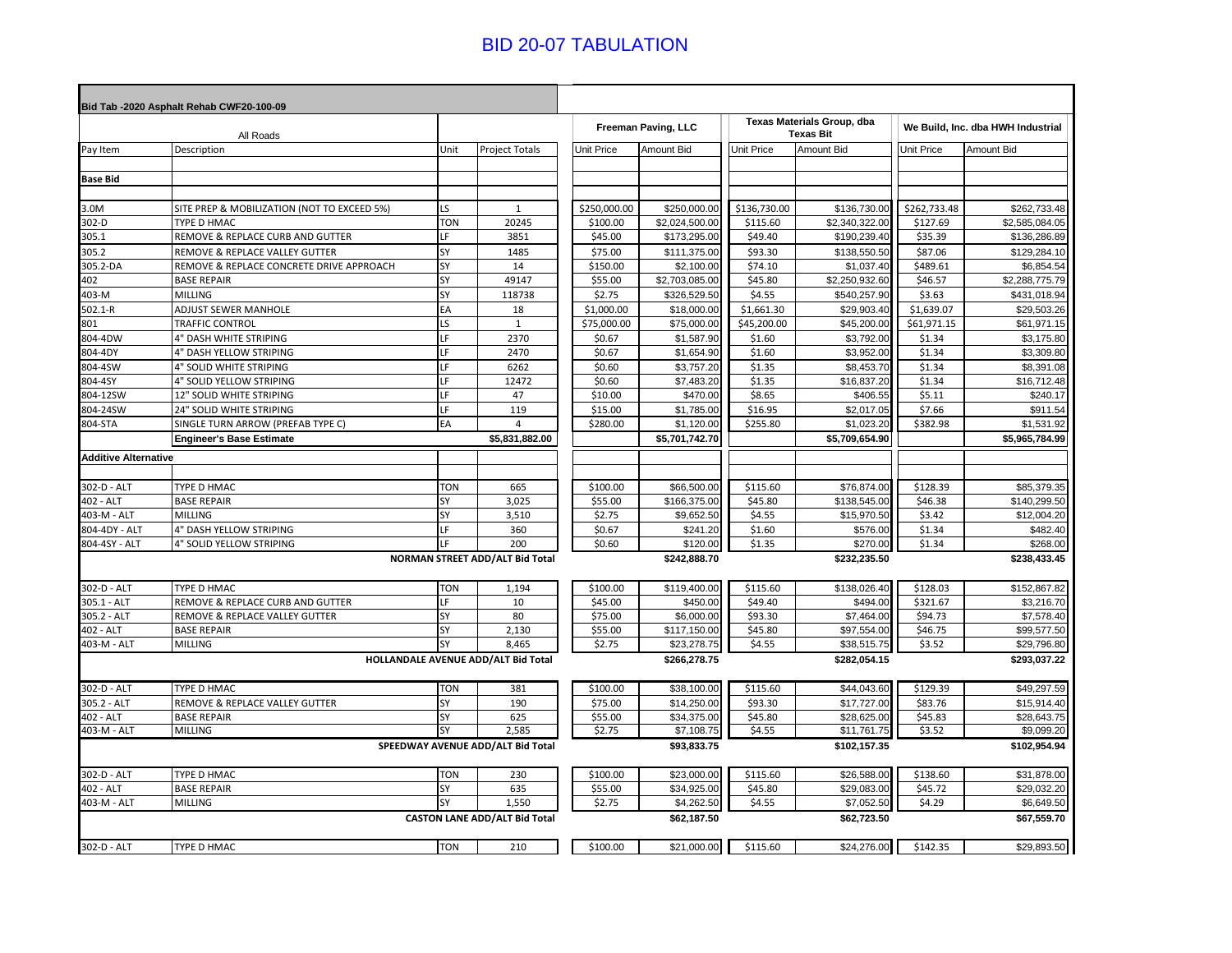## BID 20-07 TABULATION

|                             | Bid Tab -2020 Asphalt Rehab CWF20-100-09    |            |                                      |                     |                |                                                |                |                                   |                |
|-----------------------------|---------------------------------------------|------------|--------------------------------------|---------------------|----------------|------------------------------------------------|----------------|-----------------------------------|----------------|
| All Roads                   |                                             |            |                                      | Freeman Paving, LLC |                | Texas Materials Group, dba<br><b>Texas Bit</b> |                | We Build, Inc. dba HWH Industrial |                |
| Pay Item                    | Description                                 | Unit       | <b>Project Totals</b>                | <b>Unit Price</b>   | Amount Bid     | <b>Unit Price</b>                              | Amount Bid     | Unit Price                        | Amount Bid     |
|                             |                                             |            |                                      |                     |                |                                                |                |                                   |                |
| <b>Base Bid</b>             |                                             |            |                                      |                     |                |                                                |                |                                   |                |
|                             |                                             |            |                                      |                     |                |                                                |                |                                   |                |
| 3.0M                        | SITE PREP & MOBILIZATION (NOT TO EXCEED 5%) | <b>LS</b>  | 1                                    | \$250,000.00        | \$250,000.00   | \$136,730.00                                   | \$136,730.00   | \$262,733.48                      | \$262,733.48   |
| 302-D                       | TYPE D HMAC                                 | <b>TON</b> | 20245                                | \$100.00            | \$2,024,500.00 | \$115.60                                       | \$2,340,322.00 | \$127.69                          | \$2,585,084.05 |
| 305.1                       | REMOVE & REPLACE CURB AND GUTTER            | LF         | 3851                                 | \$45.00             | \$173,295.00   | \$49.40                                        | \$190,239.40   | \$35.39                           | \$136,286.89   |
| 305.2                       | REMOVE & REPLACE VALLEY GUTTER              | SY         | 1485                                 | \$75.00             | \$111,375.00   | \$93.30                                        | \$138,550.50   | \$87.06                           | \$129,284.10   |
| 05.2-DA                     | REMOVE & REPLACE CONCRETE DRIVE APPROACH    | SY         | 14                                   | \$150.00            | \$2,100.00     | \$74.10                                        | \$1,037.40     | \$489.61                          | \$6,854.5      |
| 402                         | <b>BASE REPAIR</b>                          | SY         | 49147                                | \$55.00             | \$2,703,085.00 | \$45.80                                        | \$2,250,932.60 | \$46.57                           | \$2,288,775.79 |
| 403-M                       | MILLING                                     | SY         | 118738                               | \$2.75              | \$326,529.50   | \$4.55                                         | \$540,257.90   | \$3.63                            | \$431,018.94   |
| $502.1 - R$                 | ADJUST SEWER MANHOLE                        | EA         | 18                                   | \$1,000.00          | \$18,000.00    | \$1,661.30                                     | \$29,903.40    | \$1,639.07                        | \$29,503.26    |
| 801                         | <b>TRAFFIC CONTROL</b>                      | LS         | $\mathbf{1}$                         | \$75,000.00         | \$75,000.00    | \$45,200.00                                    | \$45,200.00    | \$61,971.15                       | \$61,971.15    |
| 804-4DW                     | 4" DASH WHITE STRIPING                      | IF.        | 2370                                 | \$0.67              | \$1,587.90     | \$1.60                                         | \$3,792.00     | \$1.34                            | \$3,175.80     |
| 804-4DY                     | 4" DASH YELLOW STRIPING                     | LF         | 2470                                 | \$0.67              | \$1,654.90     | \$1.60                                         | \$3,952.00     | \$1.34                            | \$3,309.80     |
| 804-4SW                     | 4" SOLID WHITE STRIPING                     | LF         | 6262                                 | \$0.60              | \$3,757.20     | \$1.35                                         | \$8,453.70     | \$1.34                            | \$8,391.08     |
| 804-4SY                     | 4" SOLID YELLOW STRIPING                    | LF         | 12472                                | \$0.60              | \$7,483.20     | \$1.35                                         | \$16,837.20    | \$1.34                            | \$16,712.48    |
| 804-12SW                    | 12" SOLID WHITE STRIPING                    | LF         | 47                                   | \$10.00             | \$470.00       | \$8.65                                         | \$406.55       | \$5.11                            | \$240.17       |
| 804-24SW                    | 24" SOLID WHITE STRIPING                    | LF         | 119                                  | \$15.00             | \$1,785.00     | \$16.95                                        | \$2,017.05     | \$7.66                            | \$911.5        |
| 804-STA                     | SINGLE TURN ARROW (PREFAB TYPE C)           | EA         | 4                                    | \$280.00            | \$1,120.00     | \$255.80                                       | \$1,023.20     | \$382.98                          | \$1,531.92     |
|                             | <b>Engineer's Base Estimate</b>             |            | \$5,831,882.00                       |                     | \$5,701,742.70 |                                                | \$5,709,654.90 |                                   | \$5,965,784.99 |
| <b>Additive Alternative</b> |                                             |            |                                      |                     |                |                                                |                |                                   |                |
|                             |                                             |            |                                      |                     |                |                                                |                |                                   |                |
| 302-D - ALT                 | TYPE D HMAC                                 | <b>TON</b> | 665                                  | \$100.00            | \$66,500.00    | \$115.60                                       | \$76,874.00    | \$128.39                          | \$85,379.35    |
| 402 - ALT                   | <b>BASE REPAIR</b>                          | SY         | 3,025                                | \$55.00             | \$166,375.00   | \$45.80                                        | \$138,545.00   | \$46.38                           | \$140,299.50   |
| 403-M - ALT                 | MILLING                                     | SY         | 3,510                                | \$2.75              | \$9,652.50     | \$4.55                                         | \$15,970.50    | \$3.42                            | \$12,004.20    |
| 804-4DY - ALT               | 4" DASH YELLOW STRIPING                     | LF         | 360                                  | \$0.67              | \$241.20       | \$1.60                                         | \$576.00       | \$1.34                            | \$482.40       |
| 804-4SY - ALT               | 4" SOLID YELLOW STRIPING                    | LF         | 200                                  | \$0.60              | \$120.00       | \$1.35                                         | \$270.00       | \$1.34                            | \$268.00       |
|                             |                                             |            | NORMAN STREET ADD/ALT Bid Total      |                     | \$242.888.70   |                                                | \$232,235.50   |                                   | \$238,433.45   |
|                             |                                             |            |                                      |                     |                |                                                |                |                                   |                |
| 302-D - ALT                 | TYPE D HMAC                                 | <b>TON</b> | 1,194                                | \$100.00            | \$119,400.00   | \$115.60                                       | \$138,026.40   | \$128.03                          | \$152,867.82   |
| 305.1 - ALT                 | REMOVE & REPLACE CURB AND GUTTER            | LF         | 10                                   | \$45.00             | \$450.00       | \$49.40                                        | \$494.00       | \$321.67                          | \$3,216.70     |
| 305.2 - ALT                 | REMOVE & REPLACE VALLEY GUTTER              | SY         | 80                                   | \$75.00             | \$6,000.00     | \$93.30                                        | \$7,464.00     | \$94.73                           | \$7,578.40     |
| 402 - ALT                   | <b>BASE REPAIR</b>                          | SY         | 2,130                                | \$55.00             | \$117,150.00   | \$45.80                                        | \$97,554.00    | \$46.75                           | \$99,577.50    |
| 403-M - ALT                 | MILLING                                     | SY         | 8,465                                | \$2.75              | \$23,278.75    | \$4.55                                         | \$38,515.75    | \$3.52                            | \$29,796.80    |
|                             |                                             |            | HOLLANDALE AVENUE ADD/ALT Bid Total  |                     | \$266,278.75   |                                                | \$282,054.15   |                                   | \$293,037.22   |
| 302-D - ALT                 | TYPE D HMAC                                 | <b>TON</b> | 381                                  | \$100.00            | \$38,100.00    | \$115.60                                       | \$44,043.60    | \$129.39                          | \$49,297.59    |
| 305.2 - ALT                 | REMOVE & REPLACE VALLEY GUTTER              | SY         | 190                                  | \$75.00             | \$14,250.00    | \$93.30                                        | \$17,727.00    | \$83.76                           | \$15,914.40    |
| 402 - ALT                   | <b>BASE REPAIR</b>                          | SY         | 625                                  | \$55.00             | \$34,375.00    | \$45.80                                        | \$28,625.00    | \$45.83                           | \$28,643.75    |
| 403-M - ALT                 | <b>MILLING</b>                              | <b>SY</b>  | 2,585                                | \$2.75              | \$7,108.75     | \$4.55                                         | \$11,761.75    | \$3.52                            | \$9,099.20     |
|                             |                                             |            | SPEEDWAY AVENUE ADD/ALT Bid Total    |                     | \$93,833.75    |                                                | \$102,157.35   |                                   | \$102,954.94   |
| 302-D - ALT                 | TYPE D HMAC                                 | <b>TON</b> | 230                                  | \$100.00            | \$23,000.00    | \$115.60                                       | \$26,588.00    | \$138.60                          | \$31,878.00    |
| 402 - ALT                   | <b>BASE REPAIR</b>                          | SY         | 635                                  | \$55.00             | \$34,925.00    | \$45.80                                        | \$29,083.00    | \$45.72                           | \$29,032.20    |
| $403-M - ALT$               | <b>MILLING</b>                              | SY         | 1,550                                | \$2.75              | \$4,262.50     | \$4.55                                         | \$7,052.50     | \$4.29                            | \$6,649.50     |
|                             |                                             |            | <b>CASTON LANE ADD/ALT Bid Total</b> |                     | \$62,187.50    |                                                | \$62,723.50    |                                   | \$67,559.70    |
|                             |                                             |            |                                      |                     |                |                                                |                |                                   |                |
| 302-D - ALT                 | TYPE D HMAC                                 | <b>TON</b> | 210                                  | \$100.00            | \$21,000.00    | \$115.60                                       | \$24,276.00    | \$142.35                          | \$29,893.50    |